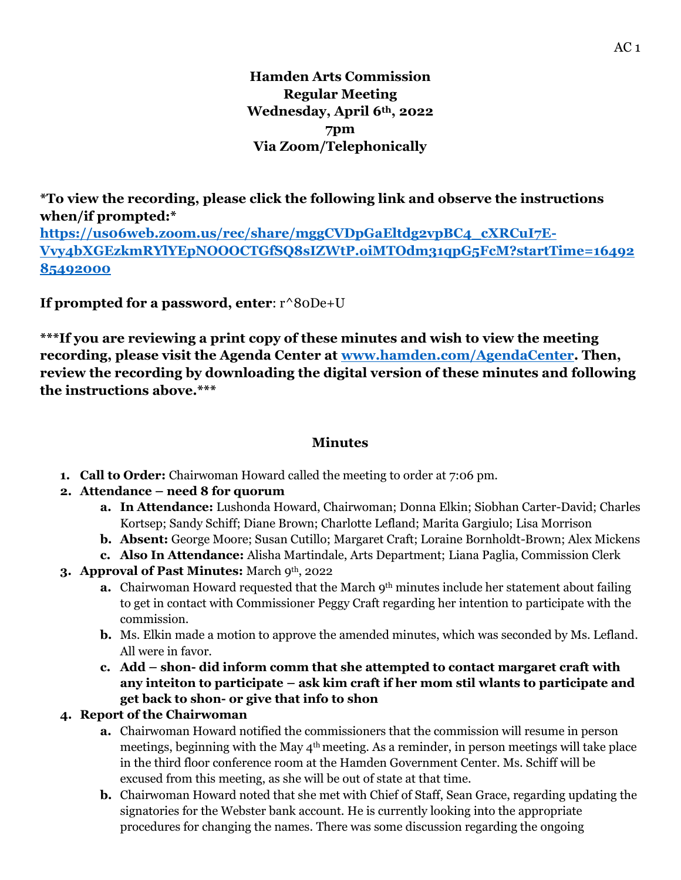**Hamden Arts Commission Regular Meeting Wednesday, April 6th, 2022 7pm Via Zoom/Telephonically**

**\*To view the recording, please click the following link and observe the instructions when/if prompted:\* [https://us06web.zoom.us/rec/share/mggCVDpGaEltdg2vpBC4\\_cXRCuI7E-](https://us06web.zoom.us/rec/share/mggCVDpGaEltdg2vpBC4_cXRCuI7E-Vvy4bXGEzkmRYlYEpNOOOCTGfSQ8sIZWtP.oiMTOdm31qpG5FcM?startTime=1649285492000)[Vvy4bXGEzkmRYlYEpNOOOCTGfSQ8sIZWtP.oiMTOdm31qpG5FcM?startTime=16492](https://us06web.zoom.us/rec/share/mggCVDpGaEltdg2vpBC4_cXRCuI7E-Vvy4bXGEzkmRYlYEpNOOOCTGfSQ8sIZWtP.oiMTOdm31qpG5FcM?startTime=1649285492000) [85492000](https://us06web.zoom.us/rec/share/mggCVDpGaEltdg2vpBC4_cXRCuI7E-Vvy4bXGEzkmRYlYEpNOOOCTGfSQ8sIZWtP.oiMTOdm31qpG5FcM?startTime=1649285492000)**

**If prompted for a password, enter**: r^80De+U

**\*\*\*If you are reviewing a print copy of these minutes and wish to view the meeting recording, please visit the Agenda Center at [www.hamden.com/AgendaCenter.](http://www.hamden.com/AgendaCenter) Then, review the recording by downloading the digital version of these minutes and following the instructions above.\*\*\***

# **Minutes**

**1. Call to Order:** Chairwoman Howard called the meeting to order at 7:06 pm.

# **2. Attendance – need 8 for quorum**

- **a. In Attendance:** Lushonda Howard, Chairwoman; Donna Elkin; Siobhan Carter-David; Charles Kortsep; Sandy Schiff; Diane Brown; Charlotte Lefland; Marita Gargiulo; Lisa Morrison
- **b. Absent:** George Moore; Susan Cutillo; Margaret Craft; Loraine Bornholdt-Brown; Alex Mickens
- **c. Also In Attendance:** Alisha Martindale, Arts Department; Liana Paglia, Commission Clerk
- **3. Approval of Past Minutes:** March 9th, 2022
	- **a.** Chairwoman Howard requested that the March 9<sup>th</sup> minutes include her statement about failing to get in contact with Commissioner Peggy Craft regarding her intention to participate with the commission.
	- **b.** Ms. Elkin made a motion to approve the amended minutes, which was seconded by Ms. Lefland. All were in favor.
	- **c. Add – shon- did inform comm that she attempted to contact margaret craft with any inteiton to participate – ask kim craft if her mom stil wlants to participate and get back to shon- or give that info to shon**

# **4. Report of the Chairwoman**

- **a.** Chairwoman Howard notified the commissioners that the commission will resume in person meetings, beginning with the May  $4<sup>th</sup>$  meeting. As a reminder, in person meetings will take place in the third floor conference room at the Hamden Government Center. Ms. Schiff will be excused from this meeting, as she will be out of state at that time.
- **b.** Chairwoman Howard noted that she met with Chief of Staff, Sean Grace, regarding updating the signatories for the Webster bank account. He is currently looking into the appropriate procedures for changing the names. There was some discussion regarding the ongoing